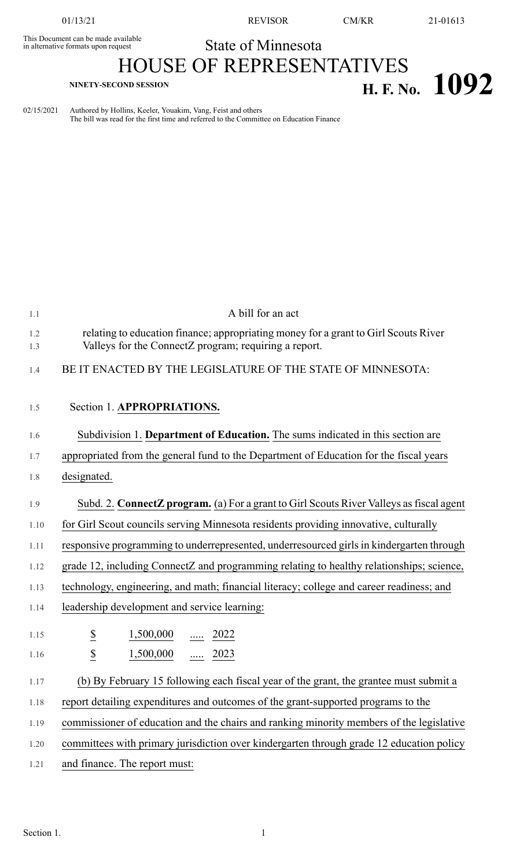This Document can be made available<br>in alternative formats upon request

01/13/21 REVISOR CM/KR 21-01613

## State of Minnesota

## HOUSE OF REPRESENTATIVES **H. F.** No. **1092**

| 02/15/2021 Authored by Hollins, Keeler, Youakim, Vang, Feist and others                 |
|-----------------------------------------------------------------------------------------|
| The bill was read for the first time and referred to the Committee on Education Finance |

| 1.1        | A bill for an act                                                                                                                            |
|------------|----------------------------------------------------------------------------------------------------------------------------------------------|
| 1.2<br>1.3 | relating to education finance; appropriating money for a grant to Girl Scouts River<br>Valleys for the ConnectZ program; requiring a report. |
| 1.4        | BE IT ENACTED BY THE LEGISLATURE OF THE STATE OF MINNESOTA:                                                                                  |
|            |                                                                                                                                              |
| 1.5        | Section 1. APPROPRIATIONS.                                                                                                                   |
| 1.6        | Subdivision 1. Department of Education. The sums indicated in this section are                                                               |
| 1.7        | appropriated from the general fund to the Department of Education for the fiscal years                                                       |
| 1.8        | designated.                                                                                                                                  |
| 1.9        | Subd. 2. ConnectZ program. (a) For a grant to Girl Scouts River Valleys as fiscal agent                                                      |
| 1.10       | for Girl Scout councils serving Minnesota residents providing innovative, culturally                                                         |
| 1.11       | responsive programming to underrepresented, underresourced girls in kindergarten through                                                     |
| 1.12       | grade 12, including ConnectZ and programming relating to healthy relationships; science,                                                     |
| 1.13       | technology, engineering, and math; financial literacy; college and career readiness; and                                                     |
| 1.14       | leadership development and service learning:                                                                                                 |
| 1.15       | $\underline{\$}$<br>1,500,000<br>$\ldots$ 2022                                                                                               |
| 1.16       | $\overline{\mathcal{L}}$<br>1,500,000<br>$\underline{\cdots}$ 2023                                                                           |
| 1.17       | (b) By February 15 following each fiscal year of the grant, the grantee must submit a                                                        |
| 1.18       | report detailing expenditures and outcomes of the grant-supported programs to the                                                            |
| 1.19       | commissioner of education and the chairs and ranking minority members of the legislative                                                     |
| 1.20       | committees with primary jurisdiction over kindergarten through grade 12 education policy                                                     |
| 1.21       | and finance. The report must:                                                                                                                |